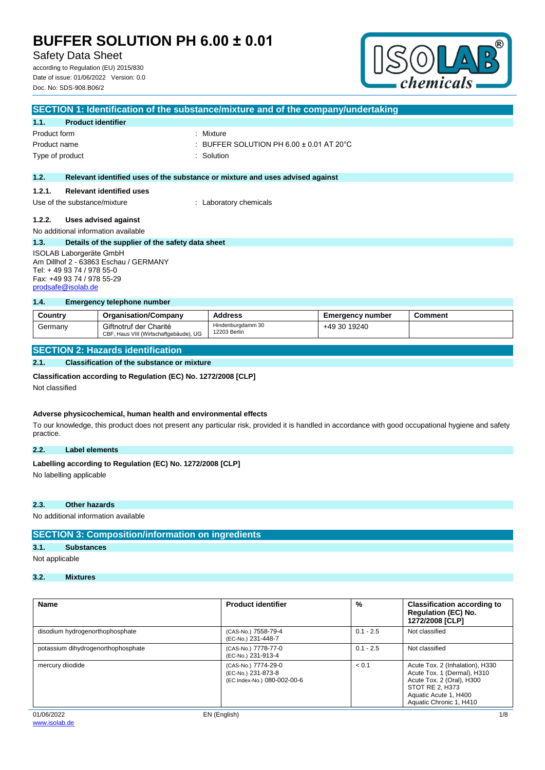## Safety Data Sheet

according to Regulation (EU) 2015/830 Date of issue: 01/06/2022 Version: 0.0 Doc. No: SDS-908.B06/2



| SECTION 1: Identification of the substance/mixture and of the company/undertaking |                                                  |                                                                               |  |  |
|-----------------------------------------------------------------------------------|--------------------------------------------------|-------------------------------------------------------------------------------|--|--|
| 1.1.                                                                              | <b>Product identifier</b>                        |                                                                               |  |  |
| Product form                                                                      |                                                  | : Mixture                                                                     |  |  |
| Product name                                                                      |                                                  | $\pm$ BUFFER SOLUTION PH 6.00 $\pm$ 0.01 AT 20 $^{\circ}$ C                   |  |  |
|                                                                                   | Type of product                                  | : Solution                                                                    |  |  |
|                                                                                   |                                                  |                                                                               |  |  |
| 1.2.                                                                              |                                                  | Relevant identified uses of the substance or mixture and uses advised against |  |  |
| 1.2.1.                                                                            | <b>Relevant identified uses</b>                  |                                                                               |  |  |
| Use of the substance/mixture                                                      |                                                  | : Laboratory chemicals                                                        |  |  |
| 1.2.2.                                                                            | Uses advised against                             |                                                                               |  |  |
| No additional information available                                               |                                                  |                                                                               |  |  |
| 1.3.                                                                              | Details of the supplier of the safety data sheet |                                                                               |  |  |
| ISOLAB Laborgeräte GmbH                                                           |                                                  |                                                                               |  |  |
| Am Dillhof 2 - 63863 Eschau / GERMANY                                             |                                                  |                                                                               |  |  |
| Tel: +49 93 74 / 978 55-0                                                         |                                                  |                                                                               |  |  |
|                                                                                   | Fax: +49 93 74 / 978 55-29                       |                                                                               |  |  |

### **1.4. Emergency telephone number**

| Country | <b>Organisation/Company</b>                                      | <b>Address</b>                    | <b>Emergency number</b> | <b>Comment</b> |
|---------|------------------------------------------------------------------|-----------------------------------|-------------------------|----------------|
| Germany | Giftnotruf der Charité<br>CBF, Haus VIII (Wirtschaftgebäude), UG | Hindenburgdamm 30<br>12203 Berlin | +49 30 19240            |                |

### **SECTION 2: Hazards identification**

#### **2.1. Classification of the substance or mixture**

#### **Classification according to Regulation (EC) No. 1272/2008 [CLP]**

Not classified

[prodsafe@isolab.de](mailto:prodsafe@isolab.de)

#### **Adverse physicochemical, human health and environmental effects**

To our knowledge, this product does not present any particular risk, provided it is handled in accordance with good occupational hygiene and safety practice.

### **2.2. Label elements**

# Labelling according to Regulation (EC) No. 1272/2008 [CLP]

No labelling applicable

### **2.3. Other hazards**

No additional information available

### **SECTION 3: Composition/information on ingredients**

## **3.1. Substances**

Not applicable

## **3.2. Mixtures**

| <b>Name</b>                        | <b>Product identifier</b>                                                | %           | <b>Classification according to</b><br><b>Regulation (EC) No.</b><br>1272/2008 [CLP]                                                                                |
|------------------------------------|--------------------------------------------------------------------------|-------------|--------------------------------------------------------------------------------------------------------------------------------------------------------------------|
| disodium hydrogenorthophosphate    | (CAS-No.) 7558-79-4<br>(EC-No.) 231-448-7                                | $0.1 - 2.5$ | Not classified                                                                                                                                                     |
| potassium dihydrogenorthophosphate | (CAS-No.) 7778-77-0<br>(EC-No.) 231-913-4                                | $0.1 - 2.5$ | Not classified                                                                                                                                                     |
| mercury diiodide                   | (CAS-No.) 7774-29-0<br>(EC-No.) 231-873-8<br>(EC Index-No.) 080-002-00-6 | < 0.1       | Acute Tox. 2 (Inhalation), H330<br>Acute Tox. 1 (Dermal), H310<br>Acute Tox. 2 (Oral), H300<br>STOT RE 2. H373<br>Aquatic Acute 1, H400<br>Aquatic Chronic 1, H410 |
| 01/06/2022                         | EN (English)                                                             |             | 1/8                                                                                                                                                                |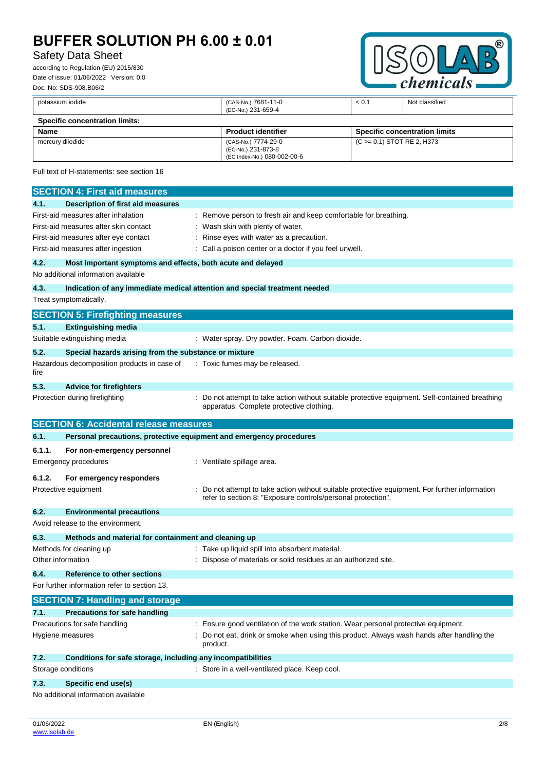# Safety Data Sheet

according to Regulation (EU) 2015/830 Date of issue: 01/06/2022 Version: 0.0 Doc. No: SDS-908.B06/2



|                                    | potassium iodide                                                           |  | (CAS-No.) 7681-11-0<br>(EC-No.) 231-659-4                                | < 0.1 | Not classified                                                                                |
|------------------------------------|----------------------------------------------------------------------------|--|--------------------------------------------------------------------------|-------|-----------------------------------------------------------------------------------------------|
|                                    | <b>Specific concentration limits:</b>                                      |  |                                                                          |       |                                                                                               |
| <b>Name</b>                        |                                                                            |  | <b>Product identifier</b>                                                |       | <b>Specific concentration limits</b>                                                          |
|                                    | mercury diiodide                                                           |  | (CAS-No.) 7774-29-0<br>(EC-No.) 231-873-8<br>(EC Index-No.) 080-002-00-6 |       | (C >= 0.1) STOT RE 2, H373                                                                    |
|                                    | Full text of H-statements: see section 16                                  |  |                                                                          |       |                                                                                               |
|                                    | <b>SECTION 4: First aid measures</b>                                       |  |                                                                          |       |                                                                                               |
| 4.1.                               | <b>Description of first aid measures</b>                                   |  |                                                                          |       |                                                                                               |
|                                    | First-aid measures after inhalation                                        |  | Remove person to fresh air and keep comfortable for breathing.           |       |                                                                                               |
|                                    | First-aid measures after skin contact                                      |  | Wash skin with plenty of water.                                          |       |                                                                                               |
|                                    | First-aid measures after eye contact                                       |  | Rinse eyes with water as a precaution.                                   |       |                                                                                               |
| First-aid measures after ingestion |                                                                            |  | Call a poison center or a doctor if you feel unwell.                     |       |                                                                                               |
| 4.2.                               | Most important symptoms and effects, both acute and delayed                |  |                                                                          |       |                                                                                               |
|                                    | No additional information available                                        |  |                                                                          |       |                                                                                               |
| 4.3.                               | Indication of any immediate medical attention and special treatment needed |  |                                                                          |       |                                                                                               |
|                                    | Treat symptomatically.                                                     |  |                                                                          |       |                                                                                               |
|                                    | <b>SECTION 5: Firefighting measures</b>                                    |  |                                                                          |       |                                                                                               |
| 5.1.                               | <b>Extinguishing media</b>                                                 |  |                                                                          |       |                                                                                               |
|                                    | Suitable extinguishing media                                               |  | : Water spray. Dry powder. Foam. Carbon dioxide.                         |       |                                                                                               |
| 5.2.                               | Special hazards arising from the substance or mixture                      |  |                                                                          |       |                                                                                               |
| fire                               | Hazardous decomposition products in case of                                |  | : Toxic fumes may be released.                                           |       |                                                                                               |
| 5.3.                               | <b>Advice for firefighters</b>                                             |  |                                                                          |       |                                                                                               |
| Protection during firefighting     |                                                                            |  | apparatus. Complete protective clothing.                                 |       | Do not attempt to take action without suitable protective equipment. Self-contained breathing |
|                                    | <b>SECTION 6: Accidental release measures</b>                              |  |                                                                          |       |                                                                                               |

|        | <b>SECTION 6: Accidental release measures</b>                       |  |                                                                                                                                                              |  |  |
|--------|---------------------------------------------------------------------|--|--------------------------------------------------------------------------------------------------------------------------------------------------------------|--|--|
| 6.1.   | Personal precautions, protective equipment and emergency procedures |  |                                                                                                                                                              |  |  |
| 6.1.1. | For non-emergency personnel                                         |  |                                                                                                                                                              |  |  |
|        | <b>Emergency procedures</b>                                         |  | : Ventilate spillage area.                                                                                                                                   |  |  |
| 6.1.2. | For emergency responders                                            |  |                                                                                                                                                              |  |  |
|        | Protective equipment                                                |  | Do not attempt to take action without suitable protective equipment. For further information<br>refer to section 8: "Exposure controls/personal protection". |  |  |
| 6.2.   | <b>Environmental precautions</b>                                    |  |                                                                                                                                                              |  |  |
|        | Avoid release to the environment.                                   |  |                                                                                                                                                              |  |  |
| 6.3.   | Methods and material for containment and cleaning up                |  |                                                                                                                                                              |  |  |
|        | Methods for cleaning up                                             |  | : Take up liquid spill into absorbent material.                                                                                                              |  |  |
|        | Other information                                                   |  | Dispose of materials or solid residues at an authorized site.                                                                                                |  |  |
| 6.4.   | <b>Reference to other sections</b>                                  |  |                                                                                                                                                              |  |  |
|        | For further information refer to section 13.                        |  |                                                                                                                                                              |  |  |
|        | <b>SECTION 7: Handling and storage</b>                              |  |                                                                                                                                                              |  |  |
| 7.1.   | <b>Precautions for safe handling</b>                                |  |                                                                                                                                                              |  |  |
|        | Precautions for safe handling                                       |  | Ensure good ventilation of the work station. Wear personal protective equipment.                                                                             |  |  |
|        | Hygiene measures                                                    |  | Do not eat, drink or smoke when using this product. Always wash hands after handling the<br>product.                                                         |  |  |
| 7.2.   | Conditions for safe storage, including any incompatibilities        |  |                                                                                                                                                              |  |  |
|        | Storage conditions                                                  |  | : Store in a well-ventilated place. Keep cool.                                                                                                               |  |  |

- **7.3. Specific end use(s)**
- No additional information available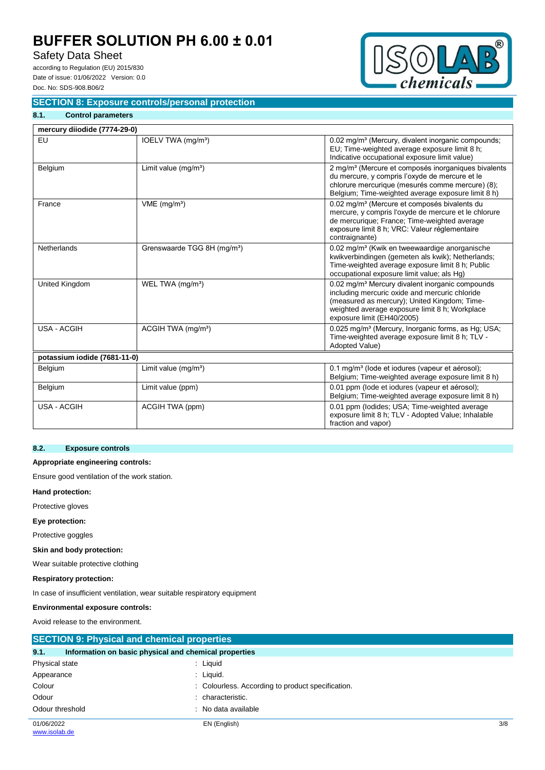## Safety Data Sheet

according to Regulation (EU) 2015/830 Date of issue: 01/06/2022 Version: 0.0 Doc. No: SDS-908.B06/2

**8.1. Control parameters**



## **SECTION 8: Exposure controls/personal protection**

| mercury diiodide (7774-29-0) |                                         |                                                                                                                                                                                                                                               |
|------------------------------|-----------------------------------------|-----------------------------------------------------------------------------------------------------------------------------------------------------------------------------------------------------------------------------------------------|
| EU                           | IOELV TWA (mg/m <sup>3</sup> )          | 0.02 mg/m <sup>3</sup> (Mercury, divalent inorganic compounds;<br>EU; Time-weighted average exposure limit 8 h;<br>Indicative occupational exposure limit value)                                                                              |
| Belgium                      | Limit value $(mg/m3)$                   | 2 mg/m <sup>3</sup> (Mercure et composés inorganiques bivalents<br>du mercure, y compris l'oxyde de mercure et le<br>chlorure mercurique (mesurés comme mercure) (8);<br>Belgium; Time-weighted average exposure limit 8 h)                   |
| France                       | $VME$ (mg/m <sup>3</sup> )              | 0.02 mg/m <sup>3</sup> (Mercure et composés bivalents du<br>mercure, y compris l'oxyde de mercure et le chlorure<br>de mercurique; France; Time-weighted average<br>exposure limit 8 h; VRC: Valeur réglementaire<br>contraignante)           |
| <b>Netherlands</b>           | Grenswaarde TGG 8H (mg/m <sup>3</sup> ) | 0.02 mg/m <sup>3</sup> (Kwik en tweewaardige anorganische<br>kwikverbindingen (gemeten als kwik); Netherlands;<br>Time-weighted average exposure limit 8 h; Public<br>occupational exposure limit value; als Hg)                              |
| <b>United Kingdom</b>        | WEL TWA (mg/m <sup>3</sup> )            | 0.02 mg/m <sup>3</sup> Mercury divalent inorganic compounds<br>including mercuric oxide and mercuric chloride<br>(measured as mercury); United Kingdom; Time-<br>weighted average exposure limit 8 h; Workplace<br>exposure limit (EH40/2005) |
| <b>USA - ACGIH</b>           | ACGIH TWA (mg/m <sup>3</sup> )          | 0.025 mg/m <sup>3</sup> (Mercury, Inorganic forms, as Hg; USA;<br>Time-weighted average exposure limit 8 h; TLV -<br>Adopted Value)                                                                                                           |
| potassium iodide (7681-11-0) |                                         |                                                                                                                                                                                                                                               |
| Belgium                      | Limit value $(mg/m3)$                   | 0.1 mg/m <sup>3</sup> (lode et iodures (vapeur et aérosol);<br>Belgium; Time-weighted average exposure limit 8 h)                                                                                                                             |
| Belgium                      | Limit value (ppm)                       | 0.01 ppm (lode et iodures (vapeur et aérosol);<br>Belgium; Time-weighted average exposure limit 8 h)                                                                                                                                          |
| USA - ACGIH                  | ACGIH TWA (ppm)                         | 0.01 ppm (lodides; USA; Time-weighted average<br>exposure limit 8 h; TLV - Adopted Value; Inhalable<br>fraction and vapor)                                                                                                                    |

### **8.2. Exposure controls**

### **Appropriate engineering controls:**

Ensure good ventilation of the work station.

#### **Hand protection:**

Protective gloves

### **Eye protection:**

Protective goggles

### **Skin and body protection:**

Wear suitable protective clothing

### **Respiratory protection:**

In case of insufficient ventilation, wear suitable respiratory equipment

### **Environmental exposure controls:**

Avoid release to the environment.

| <b>SECTION 9: Physical and chemical properties</b> |                                                       |     |  |  |
|----------------------------------------------------|-------------------------------------------------------|-----|--|--|
| 9.1.                                               | Information on basic physical and chemical properties |     |  |  |
| Physical state                                     | : Liquid                                              |     |  |  |
| Appearance                                         | $:$ Liquid.                                           |     |  |  |
| Colour                                             | : Colourless. According to product specification.     |     |  |  |
| Odour                                              | characteristic.                                       |     |  |  |
| Odour threshold                                    | : No data available                                   |     |  |  |
| 01/06/2022                                         | EN (English)                                          | 3/8 |  |  |
| www.isolab.de                                      |                                                       |     |  |  |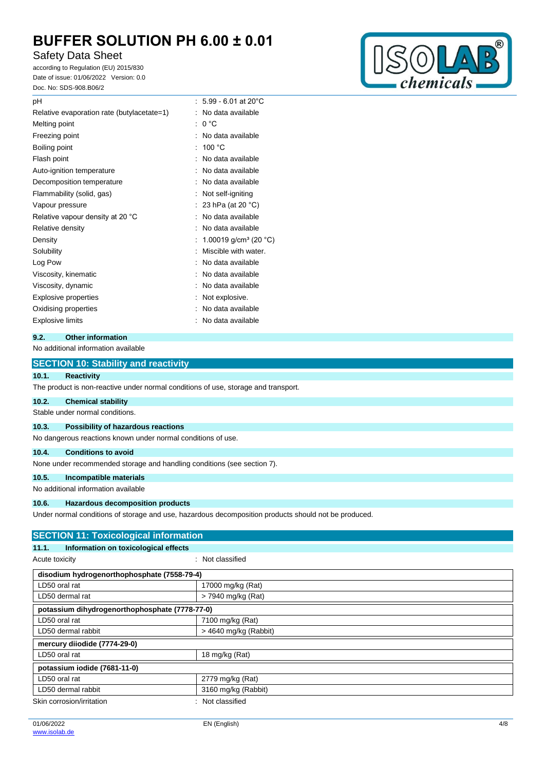# Safety Data Sheet

according to Regulation (EU) 2015/830 Date of issue: 01/06/2022 Version: 0.0 Doc. No: SDS-908.B06/2



| $5.99 - 6.01$ at 20 $^{\circ}$ C  |
|-----------------------------------|
| No data available                 |
| 0 °C<br>÷                         |
| No data available                 |
| 100 °C                            |
| No data available                 |
| No data available                 |
| No data available                 |
| Not self-igniting                 |
| 23 hPa (at 20 °C)                 |
| No data available                 |
| No data available                 |
| 1.00019 g/cm <sup>3</sup> (20 °C) |
| Miscible with water.              |
| No data available                 |
| No data available                 |
| No data available                 |
| Not explosive.                    |
| No data available                 |
| No data available                 |
|                                   |

## **9.2. Other information**

### No additional information available

|                                     | <b>SECTION 10: Stability and reactivity</b>                                                          |  |  |  |  |
|-------------------------------------|------------------------------------------------------------------------------------------------------|--|--|--|--|
| 10.1.                               | <b>Reactivity</b>                                                                                    |  |  |  |  |
|                                     | The product is non-reactive under normal conditions of use, storage and transport.                   |  |  |  |  |
| 10.2.                               | <b>Chemical stability</b>                                                                            |  |  |  |  |
|                                     | Stable under normal conditions.                                                                      |  |  |  |  |
| 10.3.                               | Possibility of hazardous reactions                                                                   |  |  |  |  |
|                                     | No dangerous reactions known under normal conditions of use.                                         |  |  |  |  |
| 10.4.                               | <b>Conditions to avoid</b>                                                                           |  |  |  |  |
|                                     | None under recommended storage and handling conditions (see section 7).                              |  |  |  |  |
| 10.5.                               | Incompatible materials                                                                               |  |  |  |  |
| No additional information available |                                                                                                      |  |  |  |  |
| 10.6.                               | <b>Hazardous decomposition products</b>                                                              |  |  |  |  |
|                                     | Under normal conditions of storage and use, hazardous decomposition products should not be produced. |  |  |  |  |
|                                     | <b>SECTION 11: Toxicological information</b>                                                         |  |  |  |  |
| 11.1.                               | Information on toxicological effects                                                                 |  |  |  |  |
| .                                   | .                                                                                                    |  |  |  |  |

| Acute toxicity |
|----------------|

: Not classified

| disodium hydrogenorthophosphate (7558-79-4)    |                         |  |  |  |
|------------------------------------------------|-------------------------|--|--|--|
| LD50 oral rat                                  | 17000 mg/kg (Rat)       |  |  |  |
| LD50 dermal rat                                | > 7940 mg/kg (Rat)      |  |  |  |
| potassium dihydrogenorthophosphate (7778-77-0) |                         |  |  |  |
| LD50 oral rat                                  | 7100 mg/kg (Rat)        |  |  |  |
| LD50 dermal rabbit                             | $>$ 4640 mg/kg (Rabbit) |  |  |  |
| mercury diiodide (7774-29-0)                   |                         |  |  |  |
| LD50 oral rat                                  | 18 mg/kg (Rat)          |  |  |  |
| potassium iodide (7681-11-0)                   |                         |  |  |  |
| LD50 oral rat                                  | 2779 mg/kg (Rat)        |  |  |  |
| LD50 dermal rabbit                             | 3160 mg/kg (Rabbit)     |  |  |  |
| Skin corrosion/irritation<br>Not classified    |                         |  |  |  |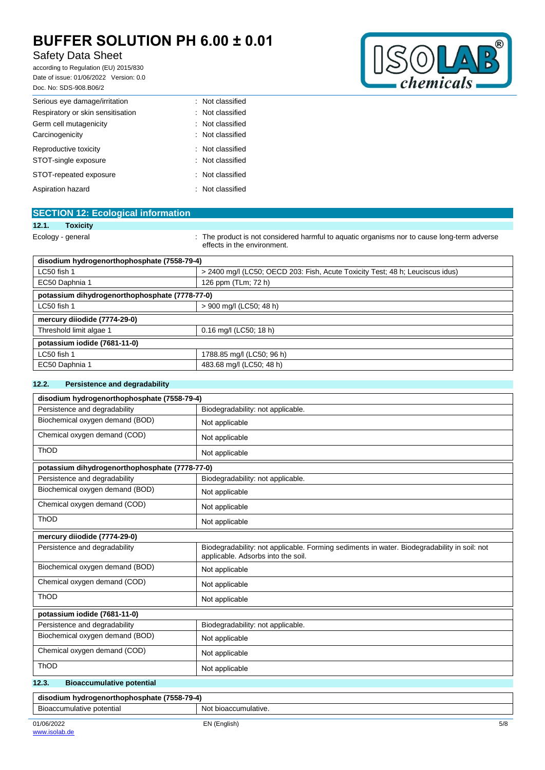# Safety Data Sheet

according to Regulation (EU) 2015/830 Date of issue: 01/06/2022 Version: 0.0 Doc. No: SDS-908.B06/2



| DOC. NO: SDS-908.B06/2            |                  |
|-----------------------------------|------------------|
| Serious eye damage/irritation     | : Not classified |
| Respiratory or skin sensitisation | : Not classified |
| Germ cell mutagenicity            | : Not classified |
| Carcinogenicity                   | : Not classified |
| Reproductive toxicity             | : Not classified |
| STOT-single exposure              | : Not classified |
| STOT-repeated exposure            | : Not classified |
| Aspiration hazard                 | : Not classified |

| <b>SECTION 12: Ecological information</b>      |                                                                                                                            |
|------------------------------------------------|----------------------------------------------------------------------------------------------------------------------------|
| 12.1.<br><b>Toxicity</b>                       |                                                                                                                            |
| Ecology - general                              | : The product is not considered harmful to aquatic organisms nor to cause long-term adverse<br>effects in the environment. |
| disodium hydrogenorthophosphate (7558-79-4)    |                                                                                                                            |
| LC50 fish 1                                    | > 2400 mg/l (LC50; OECD 203: Fish, Acute Toxicity Test; 48 h; Leuciscus idus)                                              |
| EC50 Daphnia 1                                 | 126 ppm (TLm; 72 h)                                                                                                        |
| potassium dihydrogenorthophosphate (7778-77-0) |                                                                                                                            |
| LC50 fish 1                                    | > 900 mg/l (LC50; 48 h)                                                                                                    |
| mercury diiodide (7774-29-0)                   |                                                                                                                            |
| Threshold limit algae 1                        | 0.16 mg/l (LC50; 18 h)                                                                                                     |
| potassium iodide (7681-11-0)                   |                                                                                                                            |
| LC50 fish 1                                    | 1788.85 mg/l (LC50; 96 h)                                                                                                  |
| EC50 Daphnia 1                                 | 483.68 mg/l (LC50; 48 h)                                                                                                   |

### **12.2. Persistence and degradability**

| disodium hydrogenorthophosphate (7558-79-4)    |                                                                                                                                   |
|------------------------------------------------|-----------------------------------------------------------------------------------------------------------------------------------|
| Persistence and degradability                  | Biodegradability: not applicable.                                                                                                 |
| Biochemical oxygen demand (BOD)                | Not applicable                                                                                                                    |
| Chemical oxygen demand (COD)                   | Not applicable                                                                                                                    |
| ThOD                                           | Not applicable                                                                                                                    |
| potassium dihydrogenorthophosphate (7778-77-0) |                                                                                                                                   |
| Persistence and degradability                  | Biodegradability: not applicable.                                                                                                 |
| Biochemical oxygen demand (BOD)                | Not applicable                                                                                                                    |
| Chemical oxygen demand (COD)                   | Not applicable                                                                                                                    |
| ThOD                                           | Not applicable                                                                                                                    |
| mercury diiodide (7774-29-0)                   |                                                                                                                                   |
| Persistence and degradability                  | Biodegradability: not applicable. Forming sediments in water. Biodegradability in soil: not<br>applicable. Adsorbs into the soil. |
| Biochemical oxygen demand (BOD)                | Not applicable                                                                                                                    |
| Chemical oxygen demand (COD)                   | Not applicable                                                                                                                    |
| <b>ThOD</b>                                    | Not applicable                                                                                                                    |
| potassium iodide (7681-11-0)                   |                                                                                                                                   |
| Persistence and degradability                  | Biodegradability: not applicable.                                                                                                 |
| Biochemical oxygen demand (BOD)                | Not applicable                                                                                                                    |
| Chemical oxygen demand (COD)                   | Not applicable                                                                                                                    |
| ThOD                                           | Not applicable                                                                                                                    |
| 12.3.<br><b>Bioaccumulative potential</b>      |                                                                                                                                   |
| disodium hydrogenorthophosphate (7558-79-4)    |                                                                                                                                   |
| Bioaccumulative potential                      | Not bioaccumulative.                                                                                                              |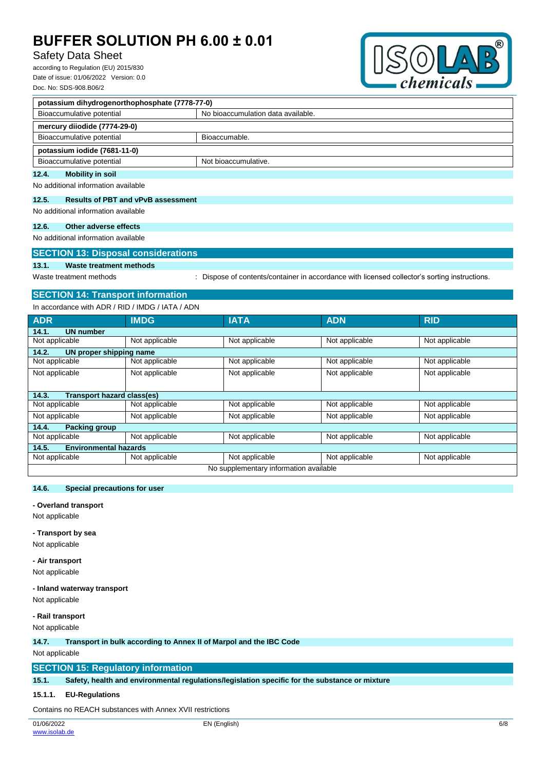## Safety Data Sheet

according to Regulation (EU) 2015/830 Date of issue: 01/06/2022 Version: 0.0 Doc. No: SDS-908.B06/2



| potassium dihydrogenorthophosphate (7778-77-0) |                                    |  |
|------------------------------------------------|------------------------------------|--|
| Bioaccumulative potential                      | No bioaccumulation data available. |  |
| mercury diiodide (7774-29-0)                   |                                    |  |
| Bioaccumulative potential                      | Bioaccumable.                      |  |
| potassium iodide (7681-11-0)                   |                                    |  |
| Bioaccumulative potential                      | Not bioaccumulative.               |  |
| 12.4.<br><b>Mobility in soil</b>               |                                    |  |

No additional information available

#### **12.5. Results of PBT and vPvB assessment**

No additional information available

## **12.6. Other adverse effects**

No additional information available

## **SECTION 13: Disposal considerations**

## **13.1. Waste treatment methods**

Waste treatment methods : Dispose of contents/container in accordance with licensed collector's sorting instructions.

## **SECTION 14: Transport information**

In accordance with ADR / RID / IMDG / IATA / ADN

| <b>ADR</b>                            | <b>IMDG</b>    | <b>IATA</b>                            | <b>ADN</b>     | <b>RID</b>     |
|---------------------------------------|----------------|----------------------------------------|----------------|----------------|
| <b>UN number</b><br>14.1.             |                |                                        |                |                |
| Not applicable                        | Not applicable | Not applicable                         | Not applicable | Not applicable |
| 14.2.<br>UN proper shipping name      |                |                                        |                |                |
| Not applicable                        | Not applicable | Not applicable                         | Not applicable | Not applicable |
| Not applicable                        | Not applicable | Not applicable                         | Not applicable | Not applicable |
|                                       |                |                                        |                |                |
| Transport hazard class(es)<br>14.3.   |                |                                        |                |                |
| Not applicable                        | Not applicable | Not applicable                         | Not applicable | Not applicable |
| Not applicable                        | Not applicable | Not applicable                         | Not applicable | Not applicable |
| 14.4.<br><b>Packing group</b>         |                |                                        |                |                |
| Not applicable                        | Not applicable | Not applicable                         | Not applicable | Not applicable |
| <b>Environmental hazards</b><br>14.5. |                |                                        |                |                |
| Not applicable                        | Not applicable | Not applicable                         | Not applicable | Not applicable |
|                                       |                | No supplementary information available |                |                |

### **14.6. Special precautions for user**

**- Overland transport**

Not applicable

### **- Transport by sea**

Not applicable

**- Air transport** Not applicable

## **- Inland waterway transport**

Not applicable

#### **- Rail transport**

Not applicable

#### **14.7. Transport in bulk according to Annex II of Marpol and the IBC Code**

Not applicable

## **SECTION 15: Regulatory information**

**15.1. Safety, health and environmental regulations/legislation specific for the substance or mixture**

### **15.1.1. EU-Regulations**

Contains no REACH substances with Annex XVII restrictions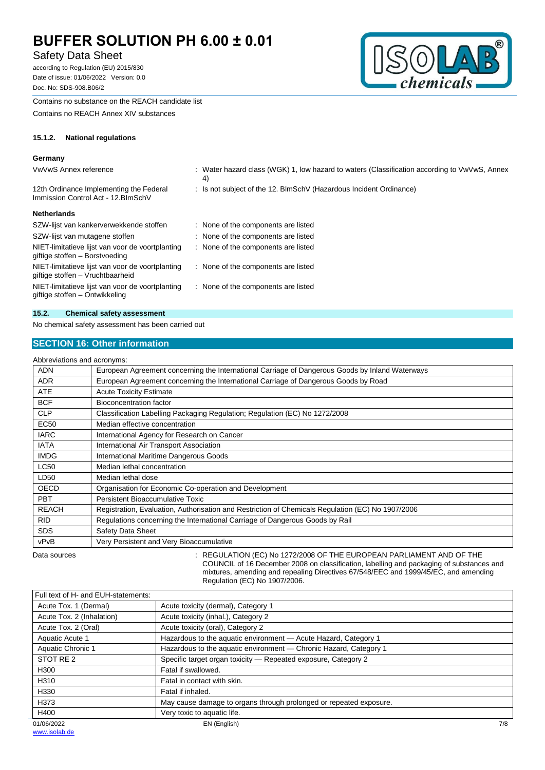## Safety Data Sheet

according to Regulation (EU) 2015/830 Date of issue: 01/06/2022 Version: 0.0 Doc. No: SDS-908.B06/2



Contains no substance on the REACH candidate list

Contains no REACH Annex XIV substances

### **15.1.2. National regulations**

# Germany<br>*Voltain* A

| VwVwS Annex reference                                                                | : Water hazard class (WGK) 1, low hazard to waters (Classification according to VwVwS, Annex<br>4) |
|--------------------------------------------------------------------------------------|----------------------------------------------------------------------------------------------------|
| 12th Ordinance Implementing the Federal<br>Immission Control Act - 12. BlmSchV       | : Is not subject of the 12. BlmSchV (Hazardous Incident Ordinance)                                 |
| <b>Netherlands</b>                                                                   |                                                                                                    |
| SZW-lijst van kankerverwekkende stoffen                                              | None of the components are listed                                                                  |
| SZW-lijst van mutagene stoffen                                                       | None of the components are listed                                                                  |
| NIET-limitatieve lijst van voor de voortplanting<br>giftige stoffen – Borstvoeding   | : None of the components are listed                                                                |
| NIET-limitatieve lijst van voor de voortplanting<br>giftige stoffen – Vruchtbaarheid | None of the components are listed                                                                  |
| NIET-limitatieve lijst van voor de voortplanting<br>giftige stoffen – Ontwikkeling   | None of the components are listed                                                                  |
|                                                                                      |                                                                                                    |

#### **15.2. Chemical safety assessment**

No chemical safety assessment has been carried out

## **SECTION 16: Other information**

| Abbreviations and acronyms: |                                                                                                   |
|-----------------------------|---------------------------------------------------------------------------------------------------|
| <b>ADN</b>                  | European Agreement concerning the International Carriage of Dangerous Goods by Inland Waterways   |
| <b>ADR</b>                  | European Agreement concerning the International Carriage of Dangerous Goods by Road               |
| <b>ATE</b>                  | <b>Acute Toxicity Estimate</b>                                                                    |
| <b>BCF</b>                  | Bioconcentration factor                                                                           |
| <b>CLP</b>                  | Classification Labelling Packaging Regulation; Regulation (EC) No 1272/2008                       |
| <b>EC50</b>                 | Median effective concentration                                                                    |
| <b>IARC</b>                 | International Agency for Research on Cancer                                                       |
| <b>IATA</b>                 | International Air Transport Association                                                           |
| <b>IMDG</b>                 | International Maritime Dangerous Goods                                                            |
| <b>LC50</b>                 | Median lethal concentration                                                                       |
| LD50                        | Median lethal dose                                                                                |
| <b>OECD</b>                 | Organisation for Economic Co-operation and Development                                            |
| <b>PBT</b>                  | Persistent Bioaccumulative Toxic                                                                  |
| <b>REACH</b>                | Registration, Evaluation, Authorisation and Restriction of Chemicals Regulation (EC) No 1907/2006 |
| <b>RID</b>                  | Regulations concerning the International Carriage of Dangerous Goods by Rail                      |
| <b>SDS</b>                  | Safety Data Sheet                                                                                 |
| vPvB                        | Very Persistent and Very Bioaccumulative                                                          |
|                             |                                                                                                   |

Data sources : REGULATION (EC) No 1272/2008 OF THE EUROPEAN PARLIAMENT AND OF THE COUNCIL of 16 December 2008 on classification, labelling and packaging of substances and mixtures, amending and repealing Directives 67/548/EEC and 1999/45/EC, and amending Regulation (EC) No 1907/2006.

| Full text of H- and EUH-statements: |                                                                    |     |
|-------------------------------------|--------------------------------------------------------------------|-----|
| Acute Tox. 1 (Dermal)               | Acute toxicity (dermal), Category 1                                |     |
| Acute Tox. 2 (Inhalation)           | Acute toxicity (inhal.), Category 2                                |     |
| Acute Tox. 2 (Oral)                 | Acute toxicity (oral), Category 2                                  |     |
| Aquatic Acute 1                     | Hazardous to the aquatic environment - Acute Hazard, Category 1    |     |
| Aquatic Chronic 1                   | Hazardous to the aquatic environment - Chronic Hazard, Category 1  |     |
| STOT RE 2                           | Specific target organ toxicity - Repeated exposure, Category 2     |     |
| H300                                | Fatal if swallowed.                                                |     |
| H310                                | Fatal in contact with skin.                                        |     |
| H330                                | Fatal if inhaled.                                                  |     |
| H373                                | May cause damage to organs through prolonged or repeated exposure. |     |
| H400                                | Very toxic to aquatic life.                                        |     |
| 01/06/2022<br>.                     | EN (English)                                                       | 7/8 |